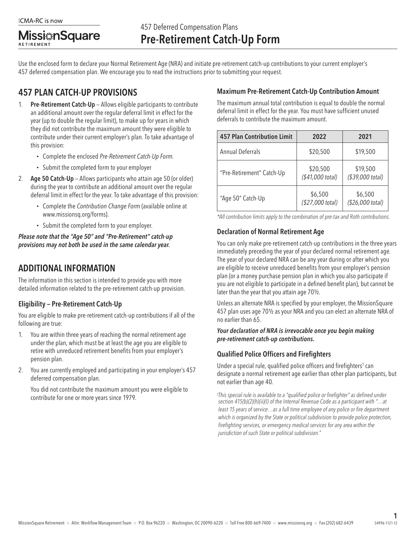**Missi**#nSquare **RETIREMENT** 

Use the enclosed form to declare your Normal Retirement Age (NRA) and initiate pre-retirement catch-up contributions to your current employer's 457 deferred compensation plan. We encourage you to read the instructions prior to submitting your request.

# 457 PLAN CATCH-UP PROVISIONS

- 1. Pre-Retirement Catch-Up Allows eligible participants to contribute an additional amount over the regular deferral limit in effect for the year (up to double the regular limit), to make up for years in which they did not contribute the maximum amount they were eligible to contribute under their current employer's plan. To take advantage of this provision:
	- Complete the enclosed *Pre-Retirement Catch-Up Form.*
	- Submit the completed form to your employer
- 2. Age 50 Catch-Up Allows participants who attain age 50 (or older) during the year to contribute an additional amount over the regular deferral limit in effect for the year. To take advantage of this provision:
	- Complete the *Contribution Change Form* (available online at www.missionsq.org/forms).
	- Submit the completed form to your employer.

*Please note that the "Age 50" and "Pre-Retirement" catch-up provisions may not both be used in the same calendar year.*

## ADDITIONAL INFORMATION

The information in this section is intended to provide you with more detailed information related to the pre-retirement catch-up provision.

#### Eligibility — Pre-Retirement Catch-Up

You are eligible to make pre-retirement catch-up contributions if all of the following are true:

- 1. You are within three years of reaching the normal retirement age under the plan, which must be at least the age you are eligible to retire with unreduced retirement benefits from your employer's pension plan.
- 2. You are currently employed and participating in your employer's 457 deferred compensation plan.

You did not contribute the maximum amount you were eligible to contribute for one or more years since 1979.

### Maximum Pre-Retirement Catch-Up Contribution Amount

The maximum annual total contribution is equal to double the normal deferral limit in effect for the year. You must have sufficient unused deferrals to contribute the maximum amount.

| <b>457 Plan Contribution Limit</b> | 2022                         | 2021                         |  |
|------------------------------------|------------------------------|------------------------------|--|
| Annual Deferrals                   | \$20,500                     | \$19,500                     |  |
| "Pre-Retirement" Catch-Up          | \$20,500<br>(\$41,000 total) | \$19,500<br>(\$39,000 total) |  |
| "Age 50" Catch-Up                  | \$6,500<br>(\$27,000 total)  | \$6,500<br>(\$26,000 total)  |  |

*\*All contribution limits apply to the combination of pre-tax and Roth contributions.*

## Declaration of Normal Retirement Age

You can only make pre-retirement catch-up contributions in the three years immediately preceding the year of your declared normal retirement age. The year of your declared NRA can be any year during or after which you are eligible to receive unreduced benefits from your employer's pension plan (or a money purchase pension plan in which you also participate if you are not eligible to participate in a defined benefit plan), but cannot be later than the year that you attain age 70½.

Unless an alternate NRA is specified by your employer, the MissionSquare 457 plan uses age 70½ as your NRA and you can elect an alternate NRA of no earlier than 65.

#### *Your declaration of NRA is irrevocable once you begin making pre-retirement catch-up contributions.*

#### Qualified Police Officers and Firefighters

Under a special rule, qualified police officers and firefighters† can designate a normal retirement age earlier than other plan participants, but not earlier than age 40.

*† This special rule is available to a "qualified police or firefighter" as defined under section 415(b)(2)(h)(ii)(I) of the Internal Revenue Code as a participant with "…at least 15 years of service…as a full time employee of any police or fire department which is organized by the State or political subdivision to provide police protection, firefighting services, or emergency medical services for any area within the jurisdiction of such State or political subdivision."*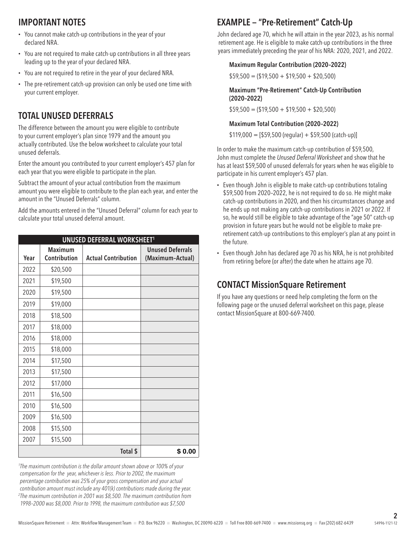## IMPORTANT NOTES

- You cannot make catch-up contributions in the year of your declared NRA.
- You are not required to make catch-up contributions in all three years leading up to the year of your declared NRA.
- You are not required to retire in the year of your declared NRA.
- The pre-retirement catch-up provision can only be used one time with your current employer.

## TOTAL UNUSED DEFERRALS

The difference between the amount you were eligible to contribute to your current employer's plan since 1979 and the amount you actually contributed. Use the below worksheet to calculate your total unused deferrals.

Enter the amount you contributed to your current employer's 457 plan for each year that you were eligible to participate in the plan.

Subtract the amount of your actual contribution from the maximum amount you were eligible to contribute to the plan each year, and enter the amount in the "Unused Deferrals" column.

Add the amounts entered in the "Unused Deferral" column for each year to calculate your total unused deferral amount.

| <b>UNUSED DEFERRAL WORKSHEET1</b> |                                |                            |                                             |  |  |  |
|-----------------------------------|--------------------------------|----------------------------|---------------------------------------------|--|--|--|
| Year                              | <b>Maximum</b><br>Contribution | <b>Actual Contribution</b> | <b>Unused Deferrals</b><br>(Maximum-Actual) |  |  |  |
| 2022                              | \$20,500                       |                            |                                             |  |  |  |
| 2021                              | \$19,500                       |                            |                                             |  |  |  |
| 2020                              | \$19,500                       |                            |                                             |  |  |  |
| 2019                              | \$19,000                       |                            |                                             |  |  |  |
| 2018                              | \$18,500                       |                            |                                             |  |  |  |
| 2017                              | \$18,000                       |                            |                                             |  |  |  |
| 2016                              | \$18,000                       |                            |                                             |  |  |  |
| 2015                              | \$18,000                       |                            |                                             |  |  |  |
| 2014                              | \$17,500                       |                            |                                             |  |  |  |
| 2013                              | \$17,500                       |                            |                                             |  |  |  |
| 2012                              | \$17,000                       |                            |                                             |  |  |  |
| 2011                              | \$16,500                       |                            |                                             |  |  |  |
| 2010                              | \$16,500                       |                            |                                             |  |  |  |
| 2009                              | \$16,500                       |                            |                                             |  |  |  |
| 2008                              | \$15,500                       |                            |                                             |  |  |  |
| 2007                              | \$15,500                       |                            |                                             |  |  |  |
|                                   |                                | Total \$                   | \$0.00                                      |  |  |  |

*1 The maximum contribution is the dollar amount shown above or 100% of your compensation for the year, whichever is less. Prior to 2002, the maximum percentage contribution was 25% of your gross compensation and your actual contribution amount must include any 401(k) contributions made during the year. 2 The maximum contribution in 2001 was \$8,500. The maximum contribution from 1998–2000 was \$8,000. Prior to 1998, the maximum contribution was \$7,500*

# EXAMPLE — "Pre-Retirement" Catch-Up

John declared age 70, which he will attain in the year 2023, as his normal retirement age. He is eligible to make catch-up contributions in the three years immediately preceding the year of his NRA: 2020, 2021, and 2022.

#### Maximum Regular Contribution (2020–2022)

 $$59,500 = ($19,500 + $19,500 + $20,500)$ 

Maximum "Pre-Retirement" Catch-Up Contribution (2020–2022)

 $$59,500 = ($19,500 + $19,500 + $20,500)$ 

#### Maximum Total Contribution (2020–2022)

 $$119,000 = $59,500$  (regular) + \$59,500 (catch-up)]

In order to make the maximum catch-up contribution of \$59,500, John must complete the *Unused Deferral Worksheet* and show that he has at least \$59,500 of unused deferrals for years when he was eligible to participate in his current employer's 457 plan.

- Even though John is eligible to make catch-up contributions totaling \$59,500 from 2020–2022, he is not required to do so. He might make catch-up contributions in 2020, and then his circumstances change and he ends up not making any catch-up contributions in 2021 or 2022. If so, he would still be eligible to take advantage of the "age 50" catch-up provision in future years but he would not be eligible to make preretirement catch-up contributions to this employer's plan at any point in the future.
- Even though John has declared age 70 as his NRA, he is not prohibited from retiring before (or after) the date when he attains age 70.

# CONTACT MissionSquare Retirement

If you have any questions or need help completing the form on the following page or the unused deferral worksheet on this page, please contact MissionSquare at 800-669-7400.